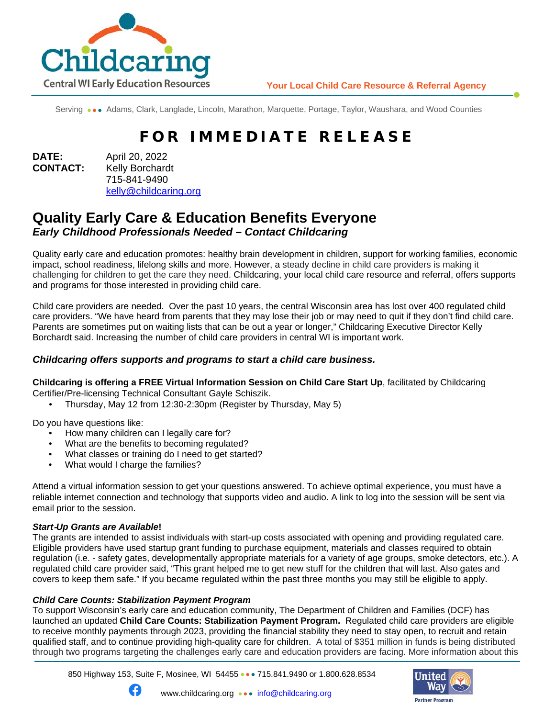

Serving ••• Adams, Clark, Langlade, Lincoln, Marathon, Marquette, Portage, Taylor, Waushara, and Wood Counties

# FOR IMMEDIATE RELEASE

**DATE:** April 20, 2022 **CONTACT:** Kelly Borchardt 715-841-9490 [kelly@childcaring.org](mailto:kelly@childcaring.org)

# **Quality Early Care & Education Benefits Everyone** *Early Childhood Professionals Needed – Contact Childcaring*

Quality early care and education promotes: healthy brain development in children, support for working families, economic impact, school readiness, lifelong skills and more. However, a steady decline in child care providers is making it challenging for children to get the care they need. Childcaring, your local child care resource and referral, offers supports and programs for those interested in providing child care.

Child care providers are needed. Over the past 10 years, the central Wisconsin area has lost over 400 regulated child care providers. "We have heard from parents that they may lose their job or may need to quit if they don't find child care. Parents are sometimes put on waiting lists that can be out a year or longer," Childcaring Executive Director Kelly Borchardt said. Increasing the number of child care providers in central WI is important work.

## *Childcaring offers supports and programs to start a child care business.*

**Childcaring is offering a FREE Virtual Information Session on Child Care Start Up**, facilitated by Childcaring Certifier/Pre-licensing Technical Consultant Gayle Schiszik.

• Thursday, May 12 from 12:30-2:30pm (Register by Thursday, May 5)

Do you have questions like:

- How many children can I legally care for?
- What are the benefits to becoming regulated?
- What classes or training do I need to get started?
- What would I charge the families?

Attend a virtual information session to get your questions answered. To achieve optimal experience, you must have a reliable internet connection and technology that supports video and audio. A link to log into the session will be sent via email prior to the session.

#### *Start*‐*Up Grants are Available***!**

The grants are intended to assist individuals with start-up costs associated with opening and providing regulated care. Eligible providers have used startup grant funding to purchase equipment, materials and classes required to obtain regulation (i.e. - safety gates, developmentally appropriate materials for a variety of age groups, smoke detectors, etc.). A regulated child care provider said, "This grant helped me to get new stuff for the children that will last. Also gates and covers to keep them safe." If you became regulated within the past three months you may still be eligible to apply.

#### *Child Care Counts: Stabilization Payment Program*

G

To support Wisconsin's early care and education community, The Department of Children and Families (DCF) has launched an updated **Child Care Counts: Stabilization Payment Program.** Regulated child care providers are eligible to receive monthly payments through 2023, providing the financial stability they need to stay open, to recruit and retain qualified staff, and to continue providing high-quality care for children. A total of \$351 million in funds is being distributed through two programs targeting the challenges early care and education providers are facing. More information about this